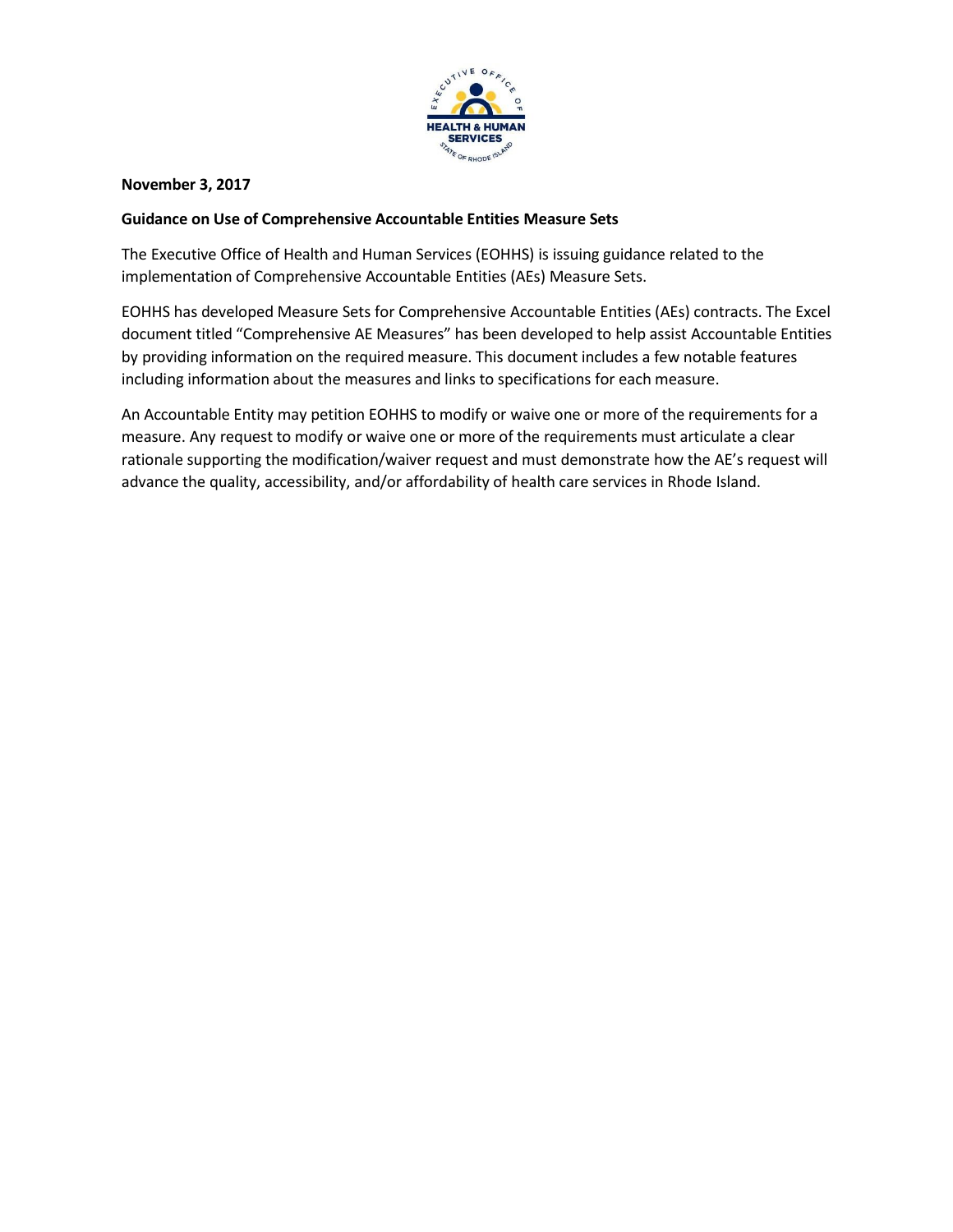

## **November 3, 2017**

## **Guidance on Use of Comprehensive Accountable Entities Measure Sets**

The Executive Office of Health and Human Services (EOHHS) is issuing guidance related to the implementation of Comprehensive Accountable Entities (AEs) Measure Sets.

EOHHS has developed Measure Sets for Comprehensive Accountable Entities (AEs) contracts. The Excel document titled "Comprehensive AE Measures" has been developed to help assist Accountable Entities by providing information on the required measure. This document includes a few notable features including information about the measures and links to specifications for each measure.

An Accountable Entity may petition EOHHS to modify or waive one or more of the requirements for a measure. Any request to modify or waive one or more of the requirements must articulate a clear rationale supporting the modification/waiver request and must demonstrate how the AE's request will advance the quality, accessibility, and/or affordability of health care services in Rhode Island.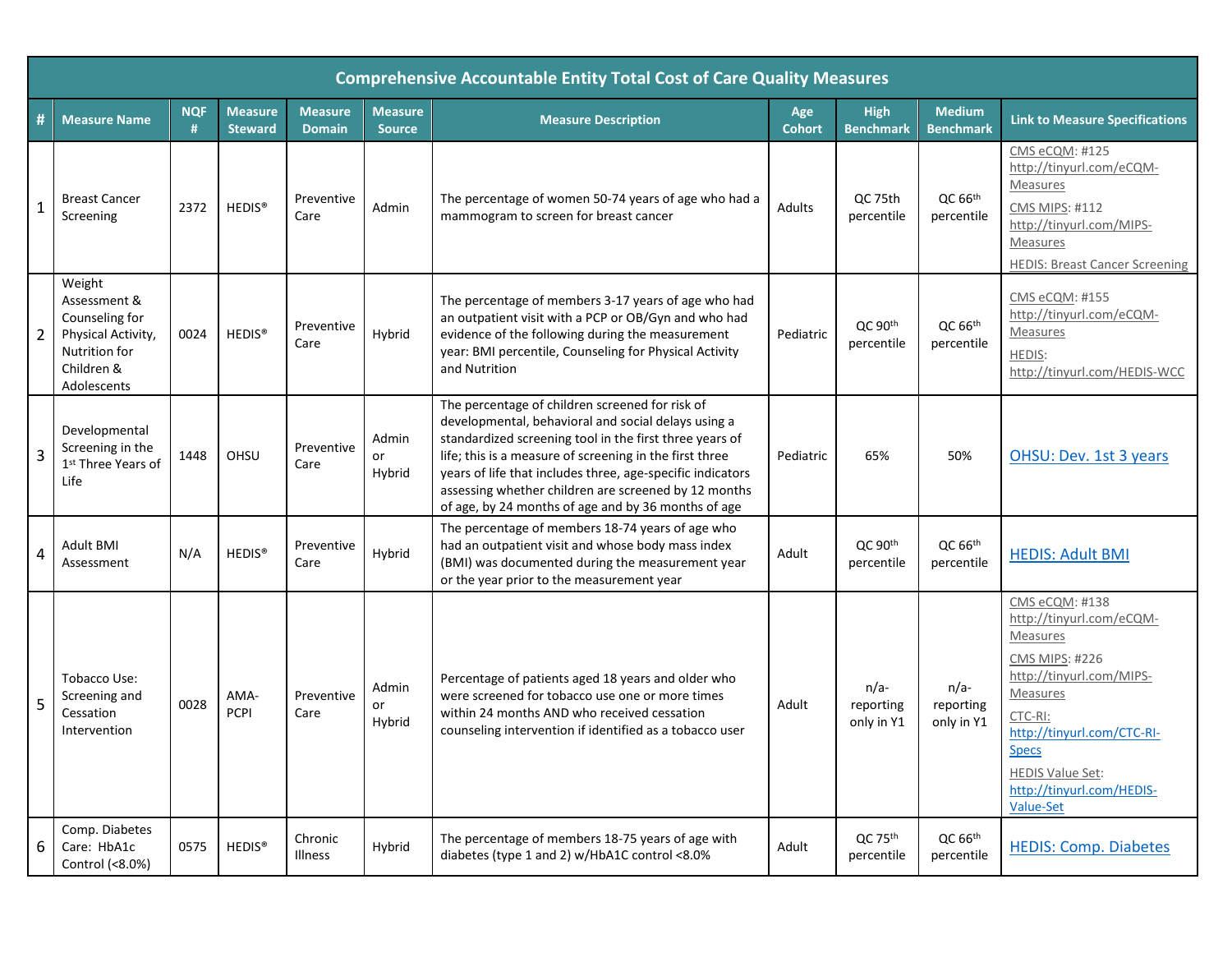|   | <b>Comprehensive Accountable Entity Total Cost of Care Quality Measures</b>                                  |                 |                                  |                                 |                                 |                                                                                                                                                                                                                                                                                                                                                                                                           |                      |                                     |                                   |                                                                                                                                                                                                                                                              |  |
|---|--------------------------------------------------------------------------------------------------------------|-----------------|----------------------------------|---------------------------------|---------------------------------|-----------------------------------------------------------------------------------------------------------------------------------------------------------------------------------------------------------------------------------------------------------------------------------------------------------------------------------------------------------------------------------------------------------|----------------------|-------------------------------------|-----------------------------------|--------------------------------------------------------------------------------------------------------------------------------------------------------------------------------------------------------------------------------------------------------------|--|
| # | <b>Measure Name</b>                                                                                          | <b>NQF</b><br>Ħ | <b>Measure</b><br><b>Steward</b> | <b>Measure</b><br><b>Domain</b> | <b>Measure</b><br><b>Source</b> | <b>Measure Description</b>                                                                                                                                                                                                                                                                                                                                                                                | Age<br><b>Cohort</b> | High<br><b>Benchmark</b>            | <b>Medium</b><br><b>Benchmark</b> | <b>Link to Measure Specifications</b>                                                                                                                                                                                                                        |  |
|   | <b>Breast Cancer</b><br>Screening                                                                            | 2372            | HEDIS <sup>®</sup>               | Preventive<br>Care              | Admin                           | The percentage of women 50-74 years of age who had a<br>mammogram to screen for breast cancer                                                                                                                                                                                                                                                                                                             | Adults               | QC 75th<br>percentile               | QC 66 <sup>th</sup><br>percentile | CMS eCQM: #125<br>http://tinyurl.com/eCQM-<br>Measures<br>CMS MIPS: #112<br>http://tinyurl.com/MIPS-<br>Measures<br><b>HEDIS: Breast Cancer Screening</b>                                                                                                    |  |
| 2 | Weight<br>Assessment &<br>Counseling for<br>Physical Activity,<br>Nutrition for<br>Children &<br>Adolescents | 0024            | HEDIS <sup>®</sup>               | Preventive<br>Care              | Hybrid                          | The percentage of members 3-17 years of age who had<br>an outpatient visit with a PCP or OB/Gyn and who had<br>evidence of the following during the measurement<br>year: BMI percentile, Counseling for Physical Activity<br>and Nutrition                                                                                                                                                                | Pediatric            | QC 90 <sup>th</sup><br>percentile   | QC 66 <sup>th</sup><br>percentile | CMS eCQM: #155<br>http://tinyurl.com/eCQM-<br>Measures<br>HEDIS:<br>http://tinyurl.com/HEDIS-WCC                                                                                                                                                             |  |
| 3 | Developmental<br>Screening in the<br>1 <sup>st</sup> Three Years of<br>Life                                  | 1448            | OHSU                             | Preventive<br>Care              | Admin<br>or<br>Hybrid           | The percentage of children screened for risk of<br>developmental, behavioral and social delays using a<br>standardized screening tool in the first three years of<br>life; this is a measure of screening in the first three<br>years of life that includes three, age-specific indicators<br>assessing whether children are screened by 12 months<br>of age, by 24 months of age and by 36 months of age | Pediatric            | 65%                                 | 50%                               | OHSU: Dev. 1st 3 years                                                                                                                                                                                                                                       |  |
| 4 | <b>Adult BMI</b><br>Assessment                                                                               | N/A             | HEDIS <sup>®</sup>               | Preventive<br>Care              | Hybrid                          | The percentage of members 18-74 years of age who<br>had an outpatient visit and whose body mass index<br>(BMI) was documented during the measurement year<br>or the year prior to the measurement year                                                                                                                                                                                                    | Adult                | QC 90 <sup>th</sup><br>percentile   | QC 66 <sup>th</sup><br>percentile | <b>HEDIS: Adult BMI</b>                                                                                                                                                                                                                                      |  |
| 5 | Tobacco Use:<br>Screening and<br>Cessation<br>Intervention                                                   | 0028            | AMA-<br><b>PCPI</b>              | Preventive<br>Care              | Admin<br>or<br>Hybrid           | Percentage of patients aged 18 years and older who<br>were screened for tobacco use one or more times<br>within 24 months AND who received cessation<br>counseling intervention if identified as a tobacco user                                                                                                                                                                                           | Adult                | $n/a-$<br>reporting<br>only in Y1   | $n/a-$<br>reporting<br>only in Y1 | CMS eCQM: #138<br>http://tinyurl.com/eCQM-<br>Measures<br><b>CMS MIPS: #226</b><br>http://tinyurl.com/MIPS-<br>Measures<br>CTC-RI:<br>http://tinyurl.com/CTC-RI-<br><b>Specs</b><br><b>HEDIS Value Set:</b><br>http://tinyurl.com/HEDIS-<br><b>Value-Set</b> |  |
| 6 | Comp. Diabetes<br>Care: HbA1c<br>Control (<8.0%)                                                             | 0575            | HEDIS <sup>®</sup>               | Chronic<br>Illness              | Hybrid                          | The percentage of members 18-75 years of age with<br>diabetes (type 1 and 2) w/HbA1C control <8.0%                                                                                                                                                                                                                                                                                                        | Adult                | $QC$ 75 <sup>th</sup><br>percentile | QC 66 <sup>th</sup><br>percentile | <b>HEDIS: Comp. Diabetes</b>                                                                                                                                                                                                                                 |  |